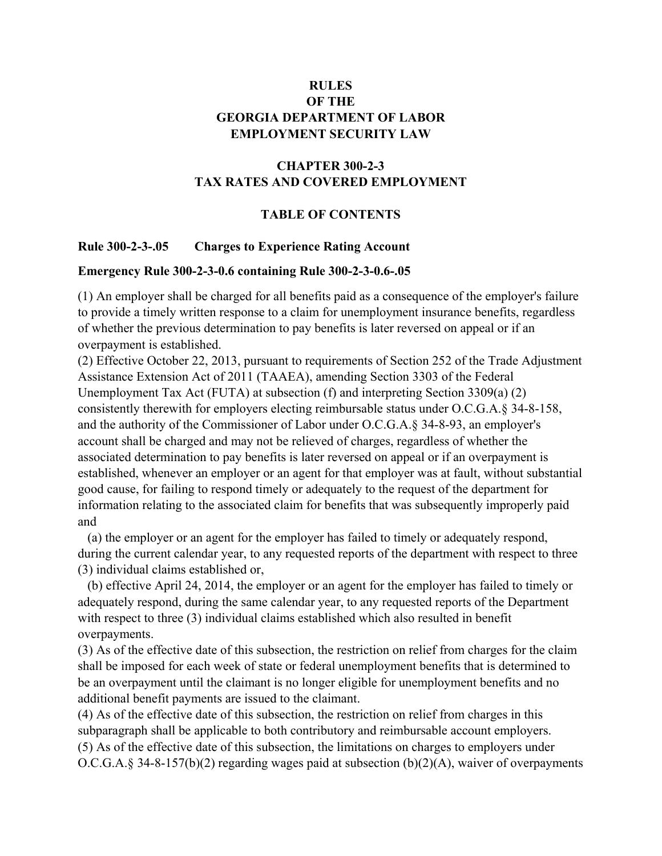# **RULES OF THE GEORGIA DEPARTMENT OF LABOR EMPLOYMENT SECURITY LAW**

# **CHAPTER 300-2-3 TAX RATES AND COVERED EMPLOYMENT**

## **TABLE OF CONTENTS**

## **Rule 300-2-3-.05 Charges to Experience Rating Account**

#### **Emergency Rule 300-2-3-0.6 containing Rule 300-2-3-0.6-.05**

(1) An employer shall be charged for all benefits paid as a consequence of the employer's failure to provide a timely written response to a claim for unemployment insurance benefits, regardless of whether the previous determination to pay benefits is later reversed on appeal or if an overpayment is established.

(2) Effective October 22, 2013, pursuant to requirements of Section 252 of the Trade Adjustment Assistance Extension Act of 2011 (TAAEA), amending Section 3303 of the Federal Unemployment Tax Act (FUTA) at subsection (f) and interpreting Section 3309(a) (2) consistently therewith for employers electing reimbursable status under O.C.G.A.§ 34-8-158, and the authority of the Commissioner of Labor under O.C.G.A.§ 34-8-93, an employer's account shall be charged and may not be relieved of charges, regardless of whether the associated determination to pay benefits is later reversed on appeal or if an overpayment is established, whenever an employer or an agent for that employer was at fault, without substantial good cause, for failing to respond timely or adequately to the request of the department for information relating to the associated claim for benefits that was subsequently improperly paid and

 (a) the employer or an agent for the employer has failed to timely or adequately respond, during the current calendar year, to any requested reports of the department with respect to three (3) individual claims established or,

 (b) effective April 24, 2014, the employer or an agent for the employer has failed to timely or adequately respond, during the same calendar year, to any requested reports of the Department with respect to three (3) individual claims established which also resulted in benefit overpayments.

(3) As of the effective date of this subsection, the restriction on relief from charges for the claim shall be imposed for each week of state or federal unemployment benefits that is determined to be an overpayment until the claimant is no longer eligible for unemployment benefits and no additional benefit payments are issued to the claimant.

(4) As of the effective date of this subsection, the restriction on relief from charges in this subparagraph shall be applicable to both contributory and reimbursable account employers. (5) As of the effective date of this subsection, the limitations on charges to employers under O.C.G.A.§ 34-8-157(b)(2) regarding wages paid at subsection (b)(2)(A), waiver of overpayments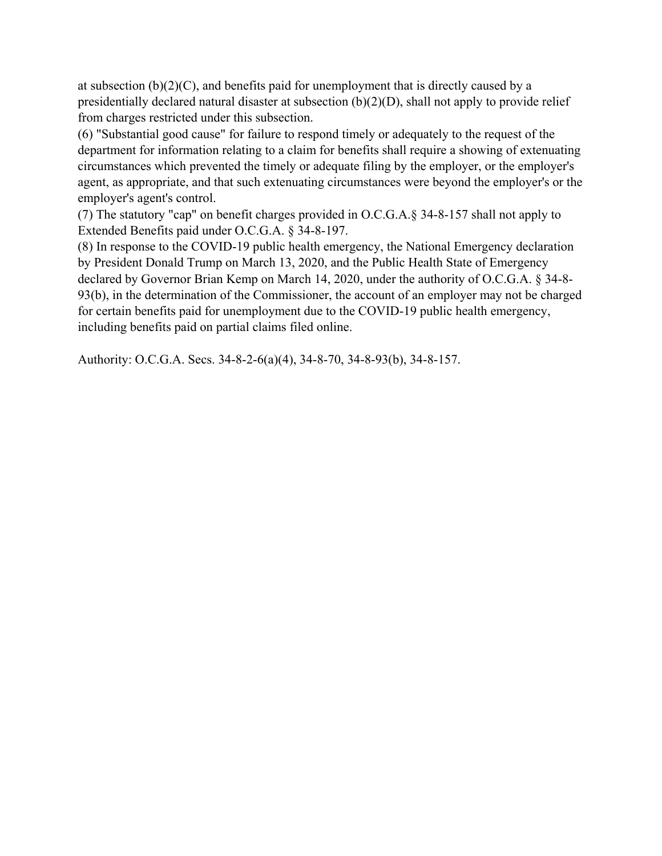at subsection  $(b)(2)(C)$ , and benefits paid for unemployment that is directly caused by a presidentially declared natural disaster at subsection (b)(2)(D), shall not apply to provide relief from charges restricted under this subsection.

(6) "Substantial good cause" for failure to respond timely or adequately to the request of the department for information relating to a claim for benefits shall require a showing of extenuating circumstances which prevented the timely or adequate filing by the employer, or the employer's agent, as appropriate, and that such extenuating circumstances were beyond the employer's or the employer's agent's control.

(7) The statutory "cap" on benefit charges provided in O.C.G.A.§ 34-8-157 shall not apply to Extended Benefits paid under O.C.G.A. § 34-8-197.

(8) In response to the COVID-19 public health emergency, the National Emergency declaration by President Donald Trump on March 13, 2020, and the Public Health State of Emergency declared by Governor Brian Kemp on March 14, 2020, under the authority of O.C.G.A. § 34-8- 93(b), in the determination of the Commissioner, the account of an employer may not be charged for certain benefits paid for unemployment due to the COVID-19 public health emergency, including benefits paid on partial claims filed online.

Authority: O.C.G.A. Secs. 34-8-2-6(a)(4), 34-8-70, 34-8-93(b), 34-8-157.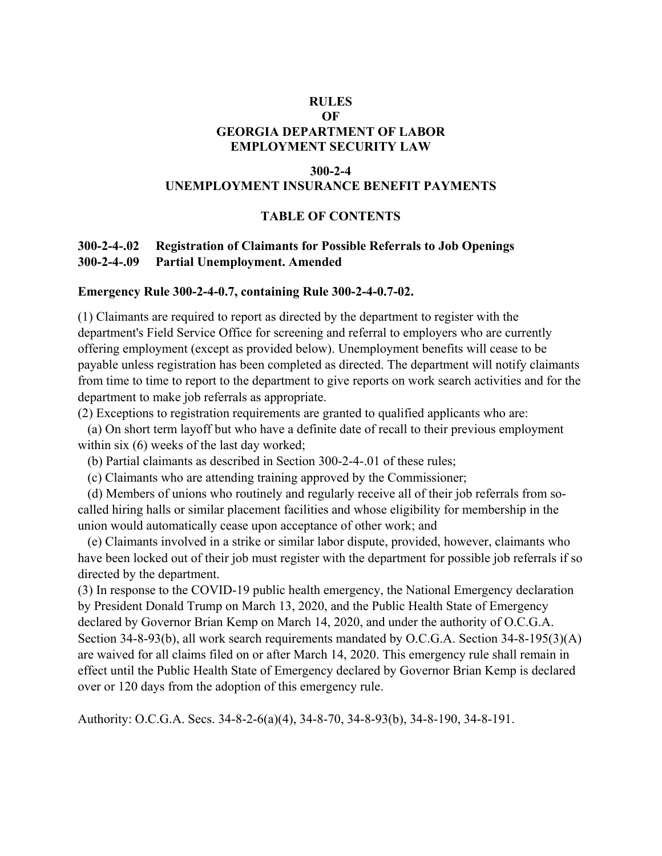## **RULES OF GEORGIA DEPARTMENT OF LABOR EMPLOYMENT SECURITY LAW**

#### **300-2-4**

#### **UNEMPLOYMENT INSURANCE BENEFIT PAYMENTS**

### **TABLE OF CONTENTS**

## **300-2-4-.02 Registration of Claimants for Possible Referrals to Job Openings 300-2-4-.09 Partial Unemployment. Amended**

#### **Emergency Rule 300-2-4-0.7, containing Rule 300-2-4-0.7-02.**

(1) Claimants are required to report as directed by the department to register with the department's Field Service Office for screening and referral to employers who are currently offering employment (except as provided below). Unemployment benefits will cease to be payable unless registration has been completed as directed. The department will notify claimants from time to time to report to the department to give reports on work search activities and for the department to make job referrals as appropriate.

(2) Exceptions to registration requirements are granted to qualified applicants who are:

 (a) On short term layoff but who have a definite date of recall to their previous employment within six (6) weeks of the last day worked;

(b) Partial claimants as described in Section 300-2-4-.01 of these rules;

(c) Claimants who are attending training approved by the Commissioner;

 (d) Members of unions who routinely and regularly receive all of their job referrals from socalled hiring halls or similar placement facilities and whose eligibility for membership in the union would automatically cease upon acceptance of other work; and

 (e) Claimants involved in a strike or similar labor dispute, provided, however, claimants who have been locked out of their job must register with the department for possible job referrals if so directed by the department.

(3) In response to the COVID-19 public health emergency, the National Emergency declaration by President Donald Trump on March 13, 2020, and the Public Health State of Emergency declared by Governor Brian Kemp on March 14, 2020, and under the authority of O.C.G.A. Section 34-8-93(b), all work search requirements mandated by O.C.G.A. Section 34-8-195(3)(A) are waived for all claims filed on or after March 14, 2020. This emergency rule shall remain in effect until the Public Health State of Emergency declared by Governor Brian Kemp is declared over or 120 days from the adoption of this emergency rule.

Authority: O.C.G.A. Secs. 34-8-2-6(a)(4), 34-8-70, 34-8-93(b), 34-8-190, 34-8-191.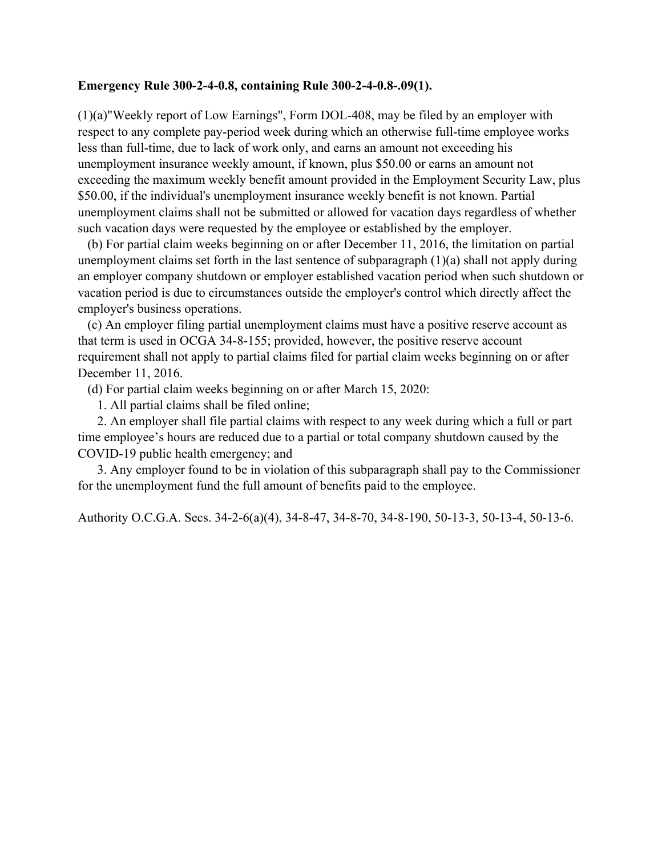### **Emergency Rule 300-2-4-0.8, containing Rule 300-2-4-0.8-.09(1).**

(1)(a)"Weekly report of Low Earnings", Form DOL-408, may be filed by an employer with respect to any complete pay-period week during which an otherwise full-time employee works less than full-time, due to lack of work only, and earns an amount not exceeding his unemployment insurance weekly amount, if known, plus \$50.00 or earns an amount not exceeding the maximum weekly benefit amount provided in the Employment Security Law, plus \$50.00, if the individual's unemployment insurance weekly benefit is not known. Partial unemployment claims shall not be submitted or allowed for vacation days regardless of whether such vacation days were requested by the employee or established by the employer.

 (b) For partial claim weeks beginning on or after December 11, 2016, the limitation on partial unemployment claims set forth in the last sentence of subparagraph (1)(a) shall not apply during an employer company shutdown or employer established vacation period when such shutdown or vacation period is due to circumstances outside the employer's control which directly affect the employer's business operations.

 (c) An employer filing partial unemployment claims must have a positive reserve account as that term is used in OCGA 34-8-155; provided, however, the positive reserve account requirement shall not apply to partial claims filed for partial claim weeks beginning on or after December 11, 2016.

(d) For partial claim weeks beginning on or after March 15, 2020:

1. All partial claims shall be filed online;

 2. An employer shall file partial claims with respect to any week during which a full or part time employee's hours are reduced due to a partial or total company shutdown caused by the COVID-19 public health emergency; and

 3. Any employer found to be in violation of this subparagraph shall pay to the Commissioner for the unemployment fund the full amount of benefits paid to the employee.

Authority O.C.G.A. Secs. 34-2-6(a)(4), 34-8-47, 34-8-70, 34-8-190, 50-13-3, 50-13-4, 50-13-6.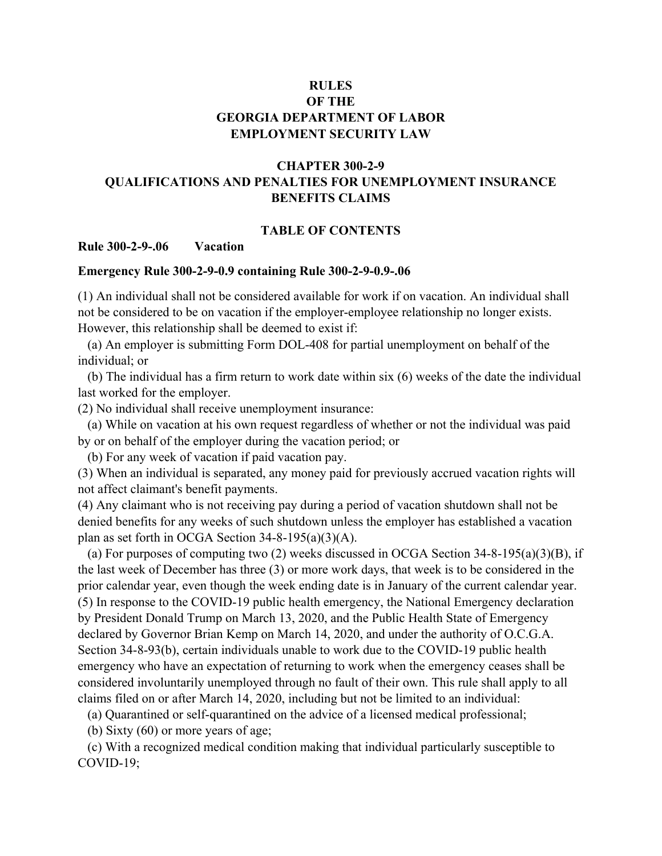## **RULES OF THE GEORGIA DEPARTMENT OF LABOR EMPLOYMENT SECURITY LAW**

# **CHAPTER 300-2-9 QUALIFICATIONS AND PENALTIES FOR UNEMPLOYMENT INSURANCE BENEFITS CLAIMS**

#### **TABLE OF CONTENTS**

#### **Rule 300-2-9-.06 Vacation**

#### **Emergency Rule 300-2-9-0.9 containing Rule 300-2-9-0.9-.06**

(1) An individual shall not be considered available for work if on vacation. An individual shall not be considered to be on vacation if the employer-employee relationship no longer exists. However, this relationship shall be deemed to exist if:

 (a) An employer is submitting Form DOL-408 for partial unemployment on behalf of the individual; or

 (b) The individual has a firm return to work date within six (6) weeks of the date the individual last worked for the employer.

(2) No individual shall receive unemployment insurance:

 (a) While on vacation at his own request regardless of whether or not the individual was paid by or on behalf of the employer during the vacation period; or

(b) For any week of vacation if paid vacation pay.

(3) When an individual is separated, any money paid for previously accrued vacation rights will not affect claimant's benefit payments.

(4) Any claimant who is not receiving pay during a period of vacation shutdown shall not be denied benefits for any weeks of such shutdown unless the employer has established a vacation plan as set forth in OCGA Section 34-8-195(a)(3)(A).

(a) For purposes of computing two (2) weeks discussed in OCGA Section  $34-8-195(a)(3)(B)$ , if the last week of December has three (3) or more work days, that week is to be considered in the prior calendar year, even though the week ending date is in January of the current calendar year. (5) In response to the COVID-19 public health emergency, the National Emergency declaration by President Donald Trump on March 13, 2020, and the Public Health State of Emergency declared by Governor Brian Kemp on March 14, 2020, and under the authority of O.C.G.A. Section 34-8-93(b), certain individuals unable to work due to the COVID-19 public health emergency who have an expectation of returning to work when the emergency ceases shall be considered involuntarily unemployed through no fault of their own. This rule shall apply to all claims filed on or after March 14, 2020, including but not be limited to an individual:

(a) Quarantined or self-quarantined on the advice of a licensed medical professional;

(b) Sixty (60) or more years of age;

 (c) With a recognized medical condition making that individual particularly susceptible to COVID-19;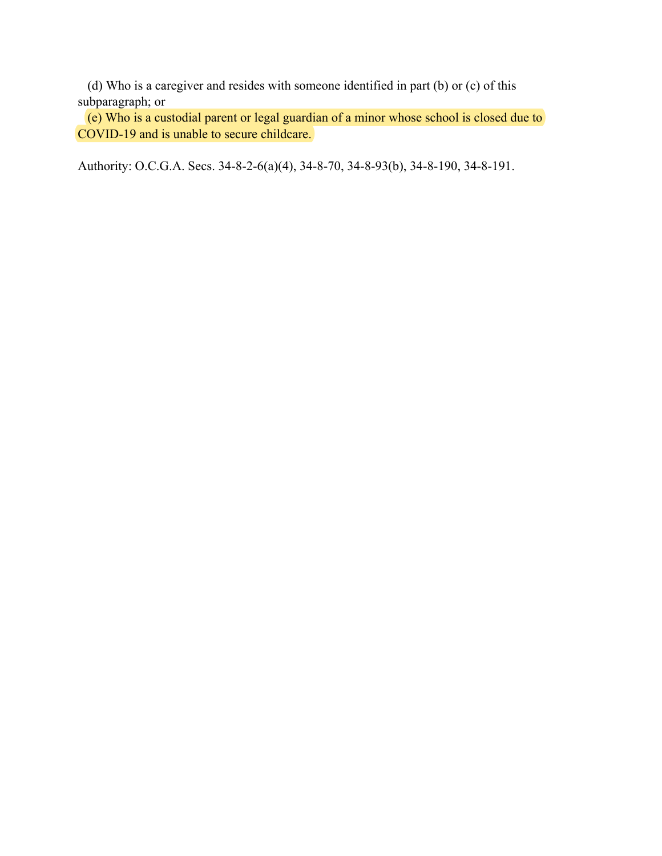(d) Who is a caregiver and resides with someone identified in part (b) or (c) of this subparagraph; or

 (e) Who is a custodial parent or legal guardian of a minor whose school is closed due to COVID-19 and is unable to secure childcare.

Authority: O.C.G.A. Secs. 34-8-2-6(a)(4), 34-8-70, 34-8-93(b), 34-8-190, 34-8-191.